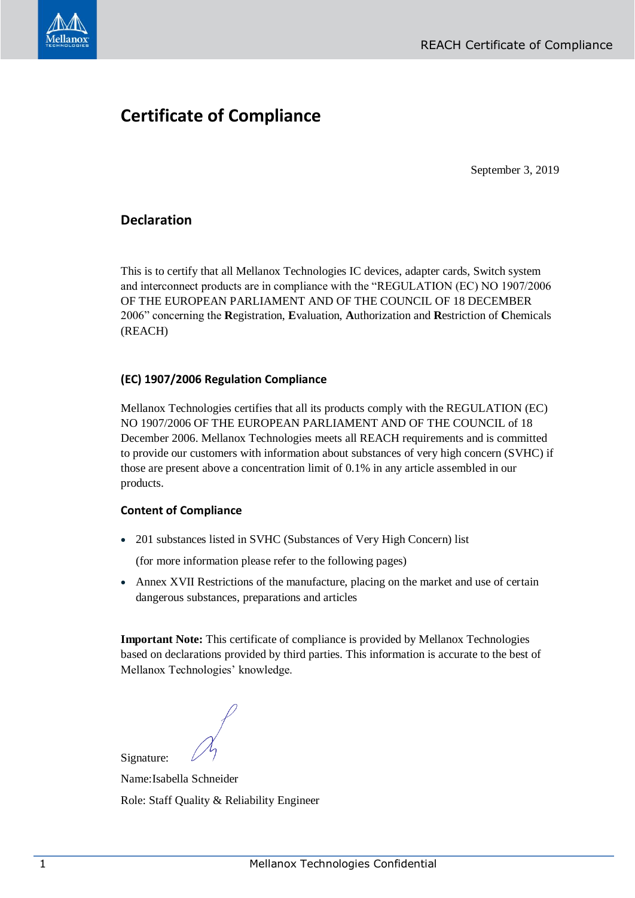

## **Certificate of Compliance**

September 3, 2019

## **Declaration**

This is to certify that all Mellanox Technologies IC devices, adapter cards, Switch system and interconnect products are in compliance with the "REGULATION (EC) NO 1907/2006 OF THE EUROPEAN PARLIAMENT AND OF THE COUNCIL OF 18 DECEMBER 2006" concerning the **R**egistration, **E**valuation, **A**uthorization and **R**estriction of **C**hemicals (REACH)

## **(EC) 1907/2006 Regulation Compliance**

Mellanox Technologies certifies that all its products comply with the REGULATION (EC) NO 1907/2006 OF THE EUROPEAN PARLIAMENT AND OF THE COUNCIL of 18 December 2006. Mellanox Technologies meets all REACH requirements and is committed to provide our customers with information about substances of very high concern (SVHC) if those are present above a concentration limit of 0.1% in any article assembled in our products.

## **Content of Compliance**

• 201 substances listed in SVHC (Substances of Very High Concern) list

(for more information please refer to the following pages)

• Annex XVII Restrictions of the manufacture, placing on the market and use of certain dangerous substances, preparations and articles

**Important Note:** This certificate of compliance is provided by Mellanox Technologies based on declarations provided by third parties. This information is accurate to the best of Mellanox Technologies' knowledge.

Signature:

Name:Isabella Schneider Role: Staff Quality & Reliability Engineer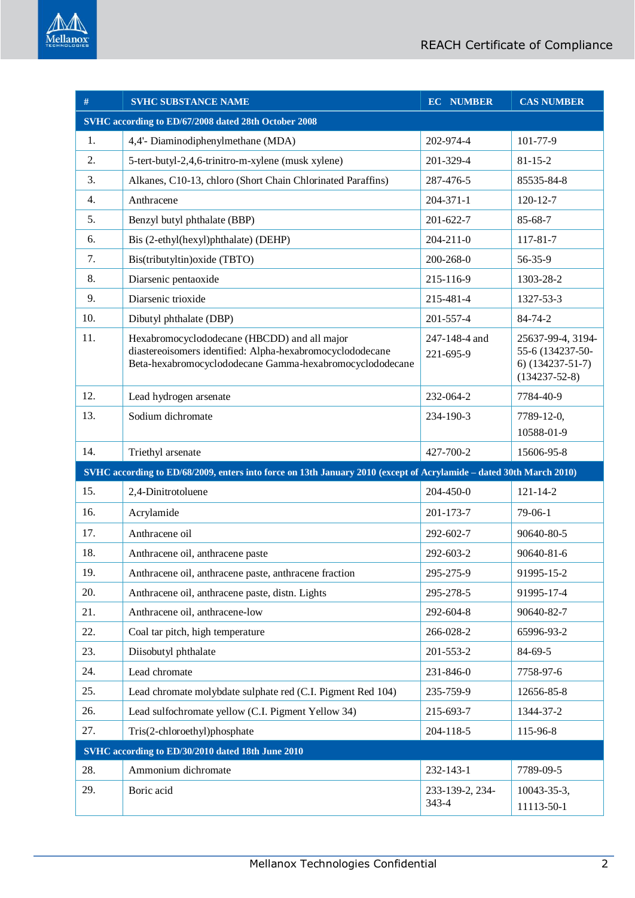

| #   | <b>SVHC SUBSTANCE NAME</b>                                                                                                                                            | <b>EC_NUMBER</b>           | <b>CAS NUMBER</b>                                                                  |
|-----|-----------------------------------------------------------------------------------------------------------------------------------------------------------------------|----------------------------|------------------------------------------------------------------------------------|
|     | SVHC according to ED/67/2008 dated 28th October 2008                                                                                                                  |                            |                                                                                    |
| 1.  | 4,4'- Diaminodiphenylmethane (MDA)                                                                                                                                    | 202-974-4                  | 101-77-9                                                                           |
| 2.  | 5-tert-butyl-2,4,6-trinitro-m-xylene (musk xylene)                                                                                                                    | 201-329-4                  | $81 - 15 - 2$                                                                      |
| 3.  | Alkanes, C10-13, chloro (Short Chain Chlorinated Paraffins)                                                                                                           | 287-476-5                  | 85535-84-8                                                                         |
| 4.  | Anthracene                                                                                                                                                            | $204 - 371 - 1$            | $120 - 12 - 7$                                                                     |
| 5.  | Benzyl butyl phthalate (BBP)                                                                                                                                          | $201 - 622 - 7$            | 85-68-7                                                                            |
| 6.  | Bis (2-ethyl(hexyl)phthalate) (DEHP)                                                                                                                                  | $204 - 211 - 0$            | 117-81-7                                                                           |
| 7.  | Bis(tributyltin) oxide (TBTO)                                                                                                                                         | 200-268-0                  | $56 - 35 - 9$                                                                      |
| 8.  | Diarsenic pentaoxide                                                                                                                                                  | 215-116-9                  | 1303-28-2                                                                          |
| 9.  | Diarsenic trioxide                                                                                                                                                    | 215-481-4                  | 1327-53-3                                                                          |
| 10. | Dibutyl phthalate (DBP)                                                                                                                                               | 201-557-4                  | 84-74-2                                                                            |
| 11. | Hexabromocyclododecane (HBCDD) and all major<br>diastereoisomers identified: Alpha-hexabromocyclododecane<br>Beta-hexabromocyclododecane Gamma-hexabromocyclododecane | 247-148-4 and<br>221-695-9 | 25637-99-4, 3194-<br>55-6 (134237-50-<br>$6)$ (134237-51-7)<br>$(134237 - 52 - 8)$ |
| 12. | Lead hydrogen arsenate                                                                                                                                                | 232-064-2                  | 7784-40-9                                                                          |
| 13. | Sodium dichromate                                                                                                                                                     | 234-190-3                  | 7789-12-0,<br>10588-01-9                                                           |
| 14. | Triethyl arsenate                                                                                                                                                     | 427-700-2                  | 15606-95-8                                                                         |
|     | SVHC according to ED/68/2009, enters into force on 13th January 2010 (except of Acrylamide - dated 30th March 2010)                                                   |                            |                                                                                    |
| 15. | 2,4-Dinitrotoluene                                                                                                                                                    | 204-450-0                  | $121 - 14 - 2$                                                                     |
| 16. | Acrylamide                                                                                                                                                            | 201-173-7                  | $79-06-1$                                                                          |
| 17. | Anthracene oil                                                                                                                                                        | 292-602-7                  | 90640-80-5                                                                         |
| 18. | Anthracene oil, anthracene paste                                                                                                                                      | 292-603-2                  | 90640-81-6                                                                         |
| 19. | Anthracene oil, anthracene paste, anthracene fraction                                                                                                                 | 295-275-9                  | 91995-15-2                                                                         |
| 20. | Anthracene oil, anthracene paste, distn. Lights                                                                                                                       | 295-278-5                  | 91995-17-4                                                                         |
| 21. | Anthracene oil, anthracene-low                                                                                                                                        | 292-604-8                  | 90640-82-7                                                                         |
| 22. | Coal tar pitch, high temperature                                                                                                                                      | 266-028-2                  | 65996-93-2                                                                         |
| 23. | Diisobutyl phthalate                                                                                                                                                  | 201-553-2                  | 84-69-5                                                                            |
| 24. | Lead chromate                                                                                                                                                         | 231-846-0                  | 7758-97-6                                                                          |
| 25. | Lead chromate molybdate sulphate red (C.I. Pigment Red 104)                                                                                                           | 235-759-9                  | 12656-85-8                                                                         |
| 26. | Lead sulfochromate yellow (C.I. Pigment Yellow 34)                                                                                                                    | 215-693-7                  | 1344-37-2                                                                          |
| 27. | Tris(2-chloroethyl)phosphate                                                                                                                                          | 204-118-5                  | 115-96-8                                                                           |
|     | SVHC according to ED/30/2010 dated 18th June 2010                                                                                                                     |                            |                                                                                    |
| 28. | Ammonium dichromate                                                                                                                                                   | 232-143-1                  | 7789-09-5                                                                          |
| 29. | Boric acid                                                                                                                                                            | 233-139-2, 234-<br>343-4   | $10043 - 35 - 3$ ,<br>11113-50-1                                                   |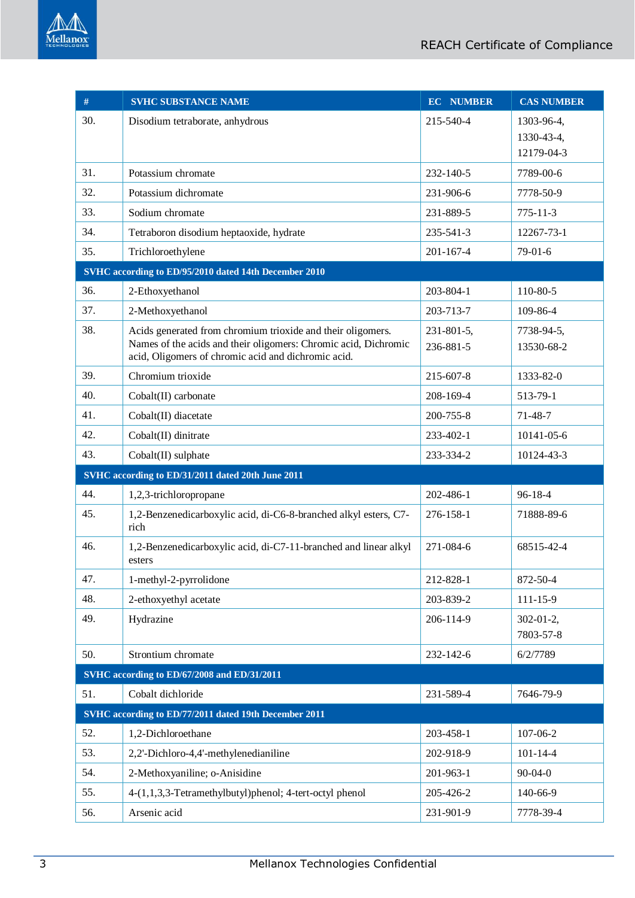

| #   | <b>SVHC SUBSTANCE NAME</b>                                                                                                     | <b>EC NUMBER</b> | <b>CAS NUMBER</b>             |
|-----|--------------------------------------------------------------------------------------------------------------------------------|------------------|-------------------------------|
| 30. | Disodium tetraborate, anhydrous                                                                                                | 215-540-4        | 1303-96-4,                    |
|     |                                                                                                                                |                  | 1330-43-4,                    |
|     |                                                                                                                                |                  | 12179-04-3                    |
| 31. | Potassium chromate                                                                                                             | 232-140-5        | 7789-00-6                     |
| 32. | Potassium dichromate                                                                                                           | 231-906-6        | 7778-50-9                     |
| 33. | Sodium chromate                                                                                                                | 231-889-5        | $775 - 11 - 3$                |
| 34. | Tetraboron disodium heptaoxide, hydrate                                                                                        | 235-541-3        | 12267-73-1                    |
| 35. | Trichloroethylene                                                                                                              | $201 - 167 - 4$  | $79-01-6$                     |
|     | SVHC according to ED/95/2010 dated 14th December 2010                                                                          |                  |                               |
| 36. | 2-Ethoxyethanol                                                                                                                | 203-804-1        | 110-80-5                      |
| 37. | 2-Methoxyethanol                                                                                                               | 203-713-7        | 109-86-4                      |
| 38. | Acids generated from chromium trioxide and their oligomers.<br>Names of the acids and their oligomers: Chromic acid, Dichromic | 231-801-5,       | 7738-94-5,                    |
|     | acid, Oligomers of chromic acid and dichromic acid.                                                                            | 236-881-5        | 13530-68-2                    |
| 39. | Chromium trioxide                                                                                                              | 215-607-8        | 1333-82-0                     |
| 40. | Cobalt(II) carbonate                                                                                                           | 208-169-4        | 513-79-1                      |
| 41. | Cobalt(II) diacetate                                                                                                           | 200-755-8        | $71 - 48 - 7$                 |
| 42. | Cobalt(II) dinitrate                                                                                                           | 233-402-1        | 10141-05-6                    |
| 43. | Cobalt(II) sulphate                                                                                                            | 233-334-2        | 10124-43-3                    |
|     | SVHC according to ED/31/2011 dated 20th June 2011                                                                              |                  |                               |
| 44. | 1,2,3-trichloropropane                                                                                                         | 202-486-1        | 96-18-4                       |
| 45. | 1,2-Benzenedicarboxylic acid, di-C6-8-branched alkyl esters, C7-<br>rich                                                       | 276-158-1        | 71888-89-6                    |
| 46. | 1,2-Benzenedicarboxylic acid, di-C7-11-branched and linear alkyl<br>esters                                                     | 271-084-6        | 68515-42-4                    |
| 47. | 1-methyl-2-pyrrolidone                                                                                                         | 212-828-1        | 872-50-4                      |
| 48. | 2-ethoxyethyl acetate                                                                                                          | 203-839-2        | $111 - 15 - 9$                |
| 49. | Hydrazine                                                                                                                      | 206-114-9        | $302 - 01 - 2$ ,<br>7803-57-8 |
| 50. | Strontium chromate                                                                                                             | 232-142-6        | 6/2/7789                      |
|     | SVHC according to ED/67/2008 and ED/31/2011                                                                                    |                  |                               |
| 51. | Cobalt dichloride                                                                                                              | 231-589-4        | 7646-79-9                     |
|     | SVHC according to ED/77/2011 dated 19th December 2011                                                                          |                  |                               |
| 52. | 1,2-Dichloroethane                                                                                                             | 203-458-1        | 107-06-2                      |
| 53. | 2,2'-Dichloro-4,4'-methylenedianiline                                                                                          | 202-918-9        | $101 - 14 - 4$                |
| 54. | 2-Methoxyaniline; o-Anisidine                                                                                                  | 201-963-1        | $90 - 04 - 0$                 |
| 55. | 4-(1,1,3,3-Tetramethylbutyl)phenol; 4-tert-octyl phenol                                                                        | 205-426-2        | 140-66-9                      |
| 56. | Arsenic acid                                                                                                                   | 231-901-9        | 7778-39-4                     |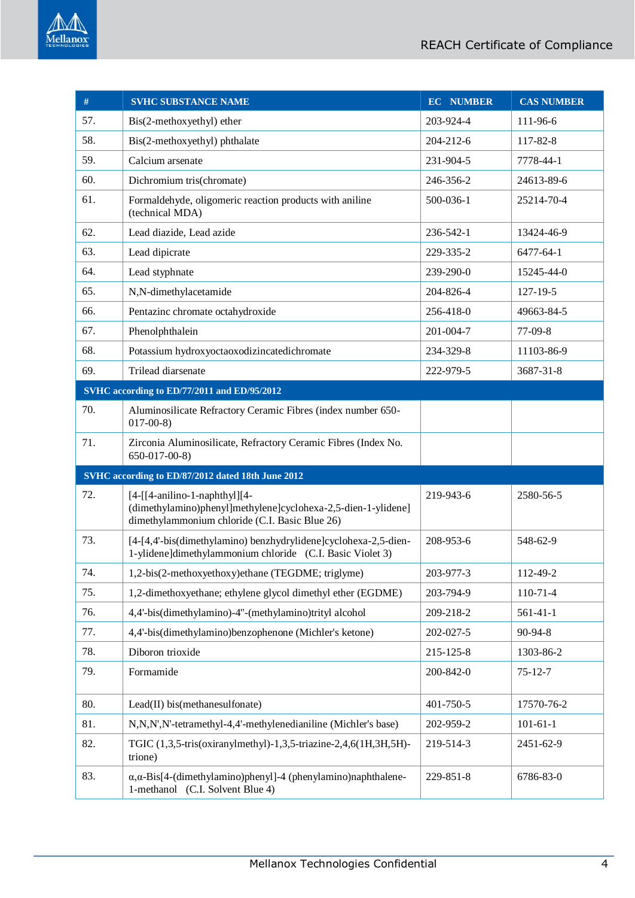

| #   | <b>SVHC SUBSTANCE NAME</b>                                                                                                                         | <b>EC NUMBER</b> | <b>CAS NUMBER</b> |
|-----|----------------------------------------------------------------------------------------------------------------------------------------------------|------------------|-------------------|
| 57. | Bis(2-methoxyethyl) ether                                                                                                                          | 203-924-4        | 111-96-6          |
| 58. | Bis(2-methoxyethyl) phthalate                                                                                                                      | 204-212-6        | 117-82-8          |
| 59. | Calcium arsenate                                                                                                                                   | 231-904-5        | 7778-44-1         |
| 60. | Dichromium tris(chromate)                                                                                                                          | 246-356-2        | 24613-89-6        |
| 61. | Formaldehyde, oligomeric reaction products with aniline<br>(technical MDA)                                                                         | 500-036-1        | 25214-70-4        |
| 62. | Lead diazide, Lead azide                                                                                                                           | 236-542-1        | 13424-46-9        |
| 63. | Lead dipicrate                                                                                                                                     | 229-335-2        | 6477-64-1         |
| 64. | Lead styphnate                                                                                                                                     | 239-290-0        | 15245-44-0        |
| 65. | N,N-dimethylacetamide                                                                                                                              | 204-826-4        | 127-19-5          |
| 66. | Pentazinc chromate octahydroxide                                                                                                                   | 256-418-0        | 49663-84-5        |
| 67. | Phenolphthalein                                                                                                                                    | 201-004-7        | 77-09-8           |
| 68. | Potassium hydroxyoctaoxodizincatedichromate                                                                                                        | 234-329-8        | 11103-86-9        |
| 69. | Trilead diarsenate                                                                                                                                 | 222-979-5        | 3687-31-8         |
|     | SVHC according to ED/77/2011 and ED/95/2012                                                                                                        |                  |                   |
| 70. | Aluminosilicate Refractory Ceramic Fibres (index number 650-<br>$017 - 00 - 8$                                                                     |                  |                   |
| 71. | Zirconia Aluminosilicate, Refractory Ceramic Fibres (Index No.<br>$650-017-00-8$                                                                   |                  |                   |
|     | SVHC according to ED/87/2012 dated 18th June 2012                                                                                                  |                  |                   |
| 72. | $[4-[[4-anilino-1-naphthy]][4-$<br>(dimethylamino)phenyl]methylene]cyclohexa-2,5-dien-1-ylidene]<br>dimethylammonium chloride (C.I. Basic Blue 26) | 219-943-6        | 2580-56-5         |
| 73. | [4-[4,4'-bis(dimethylamino) benzhydrylidene]cyclohexa-2,5-dien-<br>1-ylidene]dimethylammonium chloride (C.I. Basic Violet 3)                       | 208-953-6        | 548-62-9          |
| 74. | 1,2-bis(2-methoxyethoxy)ethane (TEGDME; triglyme)                                                                                                  | 203-977-3        | 112-49-2          |
| 75. | 1,2-dimethoxyethane; ethylene glycol dimethyl ether (EGDME)                                                                                        | 203-794-9        | $110-71-4$        |
| 76. | 4,4'-bis(dimethylamino)-4"-(methylamino)trityl alcohol                                                                                             | 209-218-2        | $561 - 41 - 1$    |
| 77. | 4,4'-bis(dimethylamino)benzophenone (Michler's ketone)                                                                                             | 202-027-5        | 90-94-8           |
| 78. | Diboron trioxide                                                                                                                                   | 215-125-8        | 1303-86-2         |
| 79. | Formamide                                                                                                                                          | 200-842-0        | $75 - 12 - 7$     |
| 80. | Lead(II) bis(methanesulfonate)                                                                                                                     | 401-750-5        | 17570-76-2        |
| 81. | N,N,N',N'-tetramethyl-4,4'-methylenedianiline (Michler's base)                                                                                     | 202-959-2        | $101 - 61 - 1$    |
| 82. | TGIC (1,3,5-tris(oxiranylmethyl)-1,3,5-triazine-2,4,6(1H,3H,5H)-<br>trione)                                                                        | 219-514-3        | 2451-62-9         |
| 83. | $\alpha$ , $\alpha$ -Bis[4-(dimethylamino)phenyl]-4 (phenylamino)naphthalene-<br>1-methanol (C.I. Solvent Blue 4)                                  | 229-851-8        | 6786-83-0         |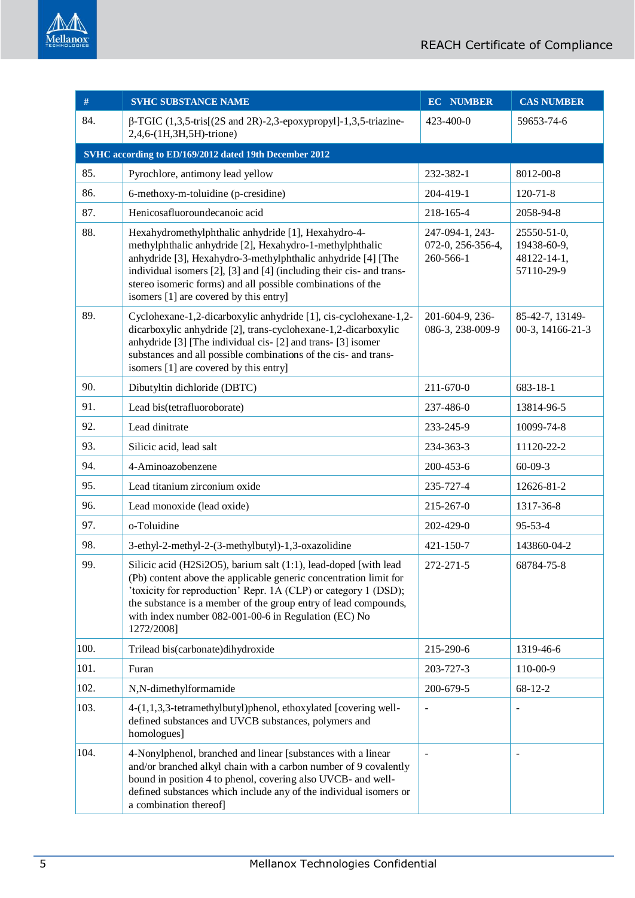

| #    | <b>SVHC SUBSTANCE NAME</b>                                                                                                                                                                                                                                                                                                                                       | <b>EC NUMBER</b>                                  | <b>CAS NUMBER</b>                                       |  |  |
|------|------------------------------------------------------------------------------------------------------------------------------------------------------------------------------------------------------------------------------------------------------------------------------------------------------------------------------------------------------------------|---------------------------------------------------|---------------------------------------------------------|--|--|
| 84.  | $\beta$ -TGIC (1,3,5-tris[(2S and 2R)-2,3-epoxypropyl]-1,3,5-triazine-<br>2,4,6-(1H,3H,5H)-trione)                                                                                                                                                                                                                                                               | 423-400-0                                         | 59653-74-6                                              |  |  |
|      | SVHC according to ED/169/2012 dated 19th December 2012                                                                                                                                                                                                                                                                                                           |                                                   |                                                         |  |  |
| 85.  | Pyrochlore, antimony lead yellow                                                                                                                                                                                                                                                                                                                                 | 232-382-1                                         | 8012-00-8                                               |  |  |
| 86.  | 6-methoxy-m-toluidine (p-cresidine)                                                                                                                                                                                                                                                                                                                              | 204-419-1                                         | $120 - 71 - 8$                                          |  |  |
| 87.  | Henicosafluoroundecanoic acid                                                                                                                                                                                                                                                                                                                                    | 218-165-4                                         | 2058-94-8                                               |  |  |
| 88.  | Hexahydromethylphthalic anhydride [1], Hexahydro-4-<br>methylphthalic anhydride [2], Hexahydro-1-methylphthalic<br>anhydride [3], Hexahydro-3-methylphthalic anhydride [4] [The<br>individual isomers [2], [3] and [4] (including their cis- and trans-<br>stereo isomeric forms) and all possible combinations of the<br>isomers [1] are covered by this entry] | 247-094-1, 243-<br>072-0, 256-356-4,<br>260-566-1 | 25550-51-0,<br>19438-60-9,<br>48122-14-1,<br>57110-29-9 |  |  |
| 89.  | Cyclohexane-1,2-dicarboxylic anhydride [1], cis-cyclohexane-1,2-<br>dicarboxylic anhydride [2], trans-cyclohexane-1,2-dicarboxylic<br>anhydride [3] [The individual cis- [2] and trans- [3] isomer<br>substances and all possible combinations of the cis- and trans-<br>isomers [1] are covered by this entry]                                                  | 201-604-9, 236-<br>086-3, 238-009-9               | 85-42-7, 13149-<br>00-3, 14166-21-3                     |  |  |
| 90.  | Dibutyltin dichloride (DBTC)                                                                                                                                                                                                                                                                                                                                     | 211-670-0                                         | 683-18-1                                                |  |  |
| 91.  | Lead bis(tetrafluoroborate)                                                                                                                                                                                                                                                                                                                                      | 237-486-0                                         | 13814-96-5                                              |  |  |
| 92.  | Lead dinitrate                                                                                                                                                                                                                                                                                                                                                   | 233-245-9                                         | 10099-74-8                                              |  |  |
| 93.  | Silicic acid, lead salt                                                                                                                                                                                                                                                                                                                                          | 234-363-3                                         | 11120-22-2                                              |  |  |
| 94.  | 4-Aminoazobenzene                                                                                                                                                                                                                                                                                                                                                | 200-453-6                                         | $60-09-3$                                               |  |  |
| 95.  | Lead titanium zirconium oxide                                                                                                                                                                                                                                                                                                                                    | 235-727-4                                         | 12626-81-2                                              |  |  |
| 96.  | Lead monoxide (lead oxide)                                                                                                                                                                                                                                                                                                                                       | 215-267-0                                         | 1317-36-8                                               |  |  |
| 97.  | o-Toluidine                                                                                                                                                                                                                                                                                                                                                      | 202-429-0                                         | 95-53-4                                                 |  |  |
| 98.  | 3-ethyl-2-methyl-2-(3-methylbutyl)-1,3-oxazolidine                                                                                                                                                                                                                                                                                                               | 421-150-7                                         | 143860-04-2                                             |  |  |
| 99.  | Silicic acid (H2Si2O5), barium salt (1:1), lead-doped [with lead<br>(Pb) content above the applicable generic concentration limit for<br>'toxicity for reproduction' Repr. 1A (CLP) or category 1 (DSD);<br>the substance is a member of the group entry of lead compounds,<br>with index number 082-001-00-6 in Regulation (EC) No<br>1272/2008]                | 272-271-5                                         | 68784-75-8                                              |  |  |
| 100. | Trilead bis(carbonate)dihydroxide                                                                                                                                                                                                                                                                                                                                | 215-290-6                                         | 1319-46-6                                               |  |  |
| 101. | Furan                                                                                                                                                                                                                                                                                                                                                            | 203-727-3                                         | 110-00-9                                                |  |  |
| 102. | N,N-dimethylformamide                                                                                                                                                                                                                                                                                                                                            | 200-679-5                                         | 68-12-2                                                 |  |  |
| 103. | 4-(1,1,3,3-tetramethylbutyl)phenol, ethoxylated [covering well-<br>defined substances and UVCB substances, polymers and<br>homologues]                                                                                                                                                                                                                           |                                                   |                                                         |  |  |
| 104. | 4-Nonylphenol, branched and linear [substances with a linear<br>and/or branched alkyl chain with a carbon number of 9 covalently<br>bound in position 4 to phenol, covering also UVCB- and well-<br>defined substances which include any of the individual isomers or<br>a combination thereof]                                                                  |                                                   |                                                         |  |  |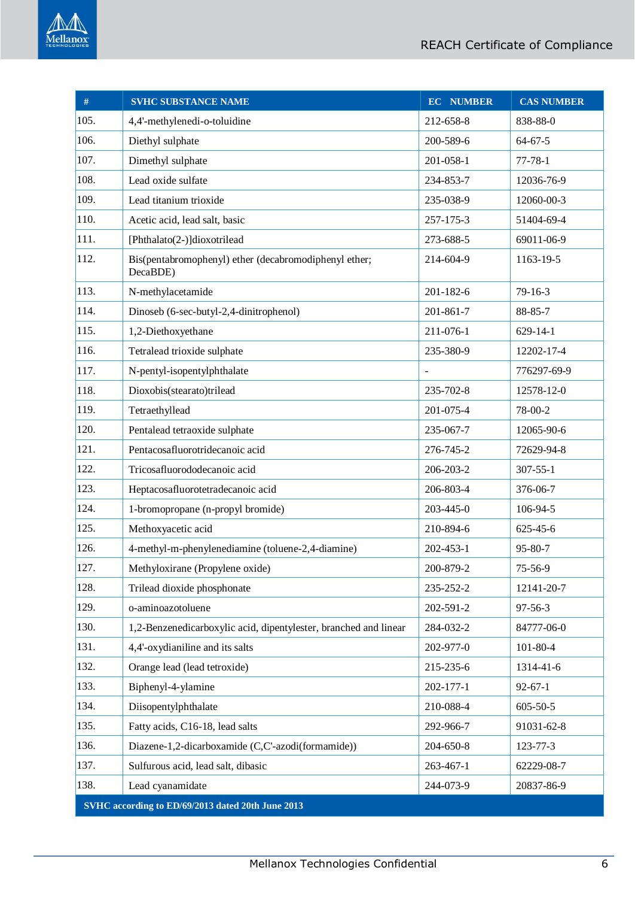

| $\#$                                              | <b>SVHC SUBSTANCE NAME</b>                                        | <b>EC NUMBER</b> | <b>CAS NUMBER</b> |
|---------------------------------------------------|-------------------------------------------------------------------|------------------|-------------------|
| 105.                                              | 4,4'-methylenedi-o-toluidine                                      | 212-658-8        | 838-88-0          |
| 106.                                              | Diethyl sulphate                                                  | 200-589-6        | $64 - 67 - 5$     |
| 107.                                              | Dimethyl sulphate                                                 | 201-058-1        | $77 - 78 - 1$     |
| 108.                                              | Lead oxide sulfate                                                | 234-853-7        | 12036-76-9        |
| 109.                                              | Lead titanium trioxide                                            | 235-038-9        | 12060-00-3        |
| 110.                                              | Acetic acid, lead salt, basic                                     | 257-175-3        | 51404-69-4        |
| 111.                                              | [Phthalato(2-)]dioxotrilead                                       | 273-688-5        | 69011-06-9        |
| 112.                                              | Bis(pentabromophenyl) ether (decabromodiphenyl ether;<br>DecaBDE) | 214-604-9        | 1163-19-5         |
| 113.                                              | N-methylacetamide                                                 | 201-182-6        | $79 - 16 - 3$     |
| 114.                                              | Dinoseb (6-sec-butyl-2,4-dinitrophenol)                           | 201-861-7        | 88-85-7           |
| 115.                                              | 1,2-Diethoxyethane                                                | 211-076-1        | $629 - 14 - 1$    |
| 116.                                              | Tetralead trioxide sulphate                                       | 235-380-9        | 12202-17-4        |
| 117.                                              | N-pentyl-isopentylphthalate                                       | $\blacksquare$   | 776297-69-9       |
| 118.                                              | Dioxobis(stearato)trilead                                         | 235-702-8        | 12578-12-0        |
| 119.                                              | Tetraethyllead                                                    | 201-075-4        | 78-00-2           |
| 120.                                              | Pentalead tetraoxide sulphate                                     | 235-067-7        | 12065-90-6        |
| 121.                                              | Pentacosafluorotridecanoic acid                                   | 276-745-2        | 72629-94-8        |
| 122.                                              | Tricosafluorododecanoic acid                                      | 206-203-2        | $307 - 55 - 1$    |
| 123.                                              | Heptacosafluorotetradecanoic acid                                 | 206-803-4        | 376-06-7          |
| 124.                                              | 1-bromopropane (n-propyl bromide)                                 | 203-445-0        | 106-94-5          |
| 125.                                              | Methoxyacetic acid                                                | 210-894-6        | 625-45-6          |
| 126.                                              | 4-methyl-m-phenylenediamine (toluene-2,4-diamine)                 | 202-453-1        | 95-80-7           |
| 127.                                              | Methyloxirane (Propylene oxide)                                   | 200-879-2        | 75-56-9           |
| 128.                                              | Trilead dioxide phosphonate                                       | 235-252-2        | 12141-20-7        |
| 129.                                              | o-aminoazotoluene                                                 | 202-591-2        | $97 - 56 - 3$     |
| 130.                                              | 1,2-Benzenedicarboxylic acid, dipentylester, branched and linear  | 284-032-2        | 84777-06-0        |
| 131.                                              | 4,4'-oxydianiline and its salts                                   | 202-977-0        | $101 - 80 - 4$    |
| 132.                                              | Orange lead (lead tetroxide)                                      | 215-235-6        | 1314-41-6         |
| 133.                                              | Biphenyl-4-ylamine                                                | 202-177-1        | $92 - 67 - 1$     |
| 134.                                              | Diisopentylphthalate                                              | 210-088-4        | $605 - 50 - 5$    |
| 135.                                              | Fatty acids, C16-18, lead salts                                   | 292-966-7        | 91031-62-8        |
| 136.                                              | Diazene-1,2-dicarboxamide (C,C'-azodi(formamide))                 | 204-650-8        | 123-77-3          |
| 137.                                              | Sulfurous acid, lead salt, dibasic                                | 263-467-1        | 62229-08-7        |
| 138.                                              | Lead cyanamidate                                                  | 244-073-9        | 20837-86-9        |
| SVHC according to ED/69/2013 dated 20th June 2013 |                                                                   |                  |                   |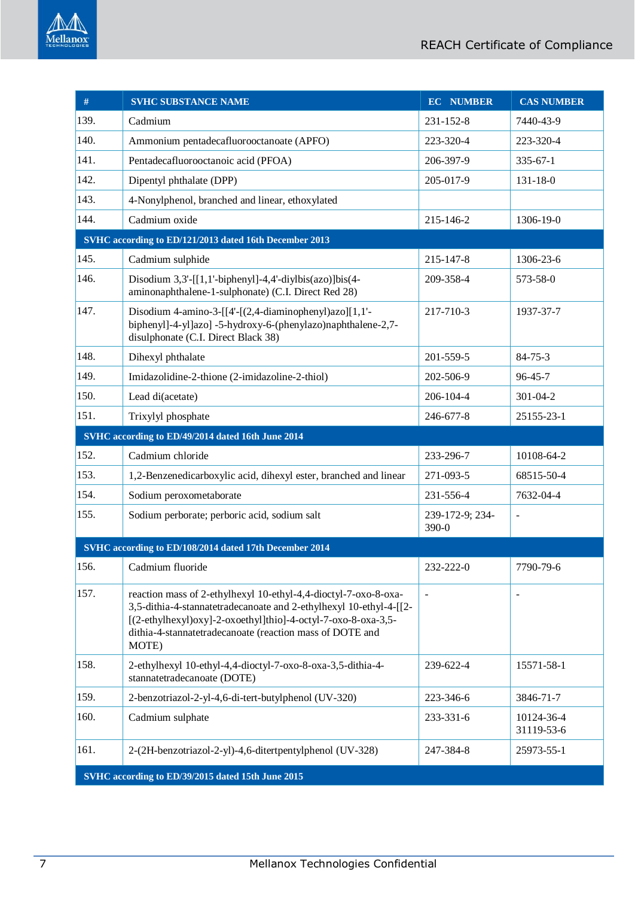

| #                                                 | <b>SVHC SUBSTANCE NAME</b>                                                                                                                                                                                                                                                  | <b>EC NUMBER</b>         | <b>CAS NUMBER</b>        |
|---------------------------------------------------|-----------------------------------------------------------------------------------------------------------------------------------------------------------------------------------------------------------------------------------------------------------------------------|--------------------------|--------------------------|
| 139.                                              | Cadmium                                                                                                                                                                                                                                                                     | 231-152-8                | 7440-43-9                |
| 140.                                              | Ammonium pentadecafluorooctanoate (APFO)                                                                                                                                                                                                                                    | 223-320-4                | 223-320-4                |
| 141.                                              | Pentadecafluorooctanoic acid (PFOA)                                                                                                                                                                                                                                         | 206-397-9                | $335 - 67 - 1$           |
| 142.                                              | Dipentyl phthalate (DPP)                                                                                                                                                                                                                                                    | 205-017-9                | $131 - 18 - 0$           |
| 143.                                              | 4-Nonylphenol, branched and linear, ethoxylated                                                                                                                                                                                                                             |                          |                          |
| 144.                                              | Cadmium oxide                                                                                                                                                                                                                                                               | 215-146-2                | 1306-19-0                |
|                                                   | SVHC according to ED/121/2013 dated 16th December 2013                                                                                                                                                                                                                      |                          |                          |
| 145.                                              | Cadmium sulphide                                                                                                                                                                                                                                                            | 215-147-8                | 1306-23-6                |
| 146.                                              | Disodium $3,3'$ -[[1,1'-biphenyl]-4,4'-diylbis(azo)]bis(4-<br>aminonaphthalene-1-sulphonate) (C.I. Direct Red 28)                                                                                                                                                           | 209-358-4                | 573-58-0                 |
| 147.                                              | Disodium 4-amino-3- $[[4-[(2,4-diaminopheny])azo][1,1]$ -<br>biphenyl]-4-yl]azo] -5-hydroxy-6-(phenylazo)naphthalene-2,7-<br>disulphonate (C.I. Direct Black 38)                                                                                                            | 217-710-3                | 1937-37-7                |
| 148.                                              | Dihexyl phthalate                                                                                                                                                                                                                                                           | 201-559-5                | $84 - 75 - 3$            |
| 149.                                              | Imidazolidine-2-thione (2-imidazoline-2-thiol)                                                                                                                                                                                                                              | 202-506-9                | $96 - 45 - 7$            |
| 150.                                              | Lead di(acetate)                                                                                                                                                                                                                                                            | 206-104-4                | 301-04-2                 |
| 151.                                              | Trixylyl phosphate                                                                                                                                                                                                                                                          | 246-677-8                | 25155-23-1               |
|                                                   | SVHC according to ED/49/2014 dated 16th June 2014                                                                                                                                                                                                                           |                          |                          |
| 152.                                              | Cadmium chloride                                                                                                                                                                                                                                                            | 233-296-7                | 10108-64-2               |
| 153.                                              | 1,2-Benzenedicarboxylic acid, dihexyl ester, branched and linear                                                                                                                                                                                                            | 271-093-5                | 68515-50-4               |
| 154.                                              | Sodium peroxometaborate                                                                                                                                                                                                                                                     | 231-556-4                | 7632-04-4                |
| 155.                                              | Sodium perborate; perboric acid, sodium salt                                                                                                                                                                                                                                | 239-172-9; 234-<br>390-0 | L,                       |
|                                                   | SVHC according to ED/108/2014 dated 17th December 2014                                                                                                                                                                                                                      |                          |                          |
| 156.                                              | Cadmium fluoride                                                                                                                                                                                                                                                            | 232-222-0                | 7790-79-6                |
| 157.                                              | reaction mass of 2-ethylhexyl 10-ethyl-4,4-dioctyl-7-oxo-8-oxa-<br>3,5-dithia-4-stannatetradecanoate and 2-ethylhexyl 10-ethyl-4-[[2-<br>[(2-ethylhexyl)oxy]-2-oxoethyl]thio]-4-octyl-7-oxo-8-oxa-3,5-<br>dithia-4-stannatetradecanoate (reaction mass of DOTE and<br>MOTE) |                          |                          |
| 158.                                              | 2-ethylhexyl 10-ethyl-4,4-dioctyl-7-oxo-8-oxa-3,5-dithia-4-<br>stannatetradecanoate (DOTE)                                                                                                                                                                                  | 239-622-4                | 15571-58-1               |
| 159.                                              | 2-benzotriazol-2-yl-4,6-di-tert-butylphenol (UV-320)                                                                                                                                                                                                                        | 223-346-6                | 3846-71-7                |
| 160.                                              | Cadmium sulphate                                                                                                                                                                                                                                                            | 233-331-6                | 10124-36-4<br>31119-53-6 |
| 161.                                              | 2-(2H-benzotriazol-2-yl)-4,6-ditertpentylphenol (UV-328)                                                                                                                                                                                                                    | 247-384-8                | 25973-55-1               |
| SVHC according to ED/39/2015 dated 15th June 2015 |                                                                                                                                                                                                                                                                             |                          |                          |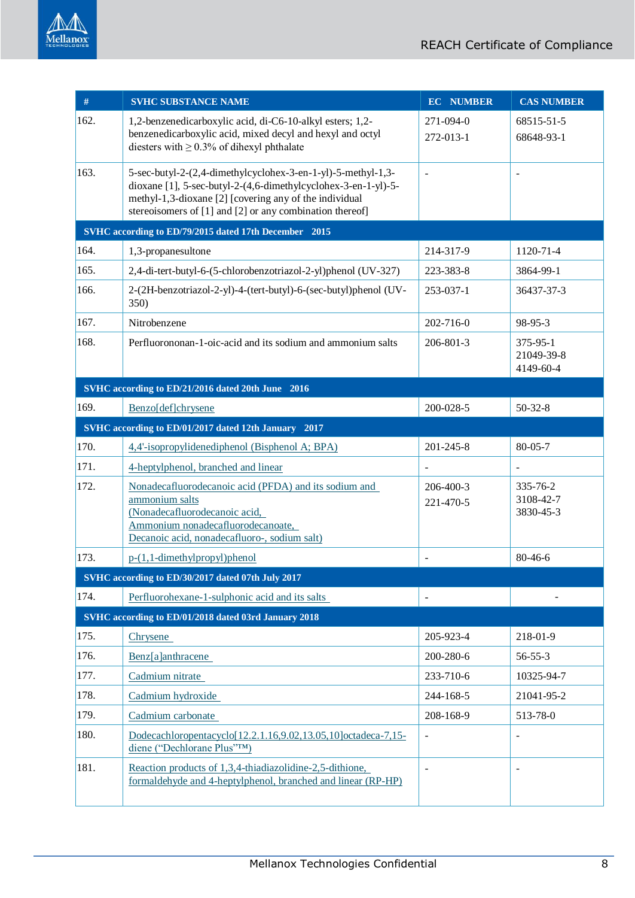| #    | <b>SVHC SUBSTANCE NAME</b>                                                                                                                                                                                                                           | <b>EC NUMBER</b>         | <b>CAS NUMBER</b>                         |
|------|------------------------------------------------------------------------------------------------------------------------------------------------------------------------------------------------------------------------------------------------------|--------------------------|-------------------------------------------|
| 162. | 1,2-benzenedicarboxylic acid, di-C6-10-alkyl esters; 1,2-<br>benzenedicarboxylic acid, mixed decyl and hexyl and octyl<br>diesters with $\geq$ 0.3% of dihexyl phthalate                                                                             | 271-094-0<br>272-013-1   | 68515-51-5<br>68648-93-1                  |
| 163. | 5-sec-butyl-2-(2,4-dimethylcyclohex-3-en-1-yl)-5-methyl-1,3-<br>dioxane [1], 5-sec-butyl-2-(4,6-dimethylcyclohex-3-en-1-yl)-5-<br>methyl-1,3-dioxane [2] [covering any of the individual<br>stereoisomers of [1] and [2] or any combination thereof] |                          |                                           |
|      | SVHC according to ED/79/2015 dated 17th December 2015                                                                                                                                                                                                |                          |                                           |
| 164. | 1,3-propanesultone                                                                                                                                                                                                                                   | 214-317-9                | 1120-71-4                                 |
| 165. | 2,4-di-tert-butyl-6-(5-chlorobenzotriazol-2-yl)phenol (UV-327)                                                                                                                                                                                       | 223-383-8                | 3864-99-1                                 |
| 166. | 2-(2H-benzotriazol-2-yl)-4-(tert-butyl)-6-(sec-butyl)phenol (UV-<br>350)                                                                                                                                                                             | 253-037-1                | 36437-37-3                                |
| 167. | Nitrobenzene                                                                                                                                                                                                                                         | 202-716-0                | 98-95-3                                   |
| 168. | Perfluorononan-1-oic-acid and its sodium and ammonium salts                                                                                                                                                                                          | 206-801-3                | $375 - 95 - 1$<br>21049-39-8<br>4149-60-4 |
|      | SVHC according to ED/21/2016 dated 20th June 2016                                                                                                                                                                                                    |                          |                                           |
| 169. | Benzo[def]chrysene                                                                                                                                                                                                                                   | 200-028-5                | $50 - 32 - 8$                             |
|      | SVHC according to ED/01/2017 dated 12th January 2017                                                                                                                                                                                                 |                          |                                           |
| 170. | 4,4'-isopropylidenediphenol (Bisphenol A; BPA)                                                                                                                                                                                                       | 201-245-8                | $80 - 05 - 7$                             |
| 171. | 4-heptylphenol, branched and linear                                                                                                                                                                                                                  |                          |                                           |
| 172. | Nonadecafluorodecanoic acid (PFDA) and its sodium and<br>ammonium salts<br>(Nonadecafluorodecanoic acid,<br>Ammonium nonadecafluorodecanoate,<br>Decanoic acid, nonadecafluoro-, sodium salt)                                                        | 206-400-3<br>221-470-5   | 335-76-2<br>3108-42-7<br>3830-45-3        |
| 173. | p-(1,1-dimethylpropyl)phenol                                                                                                                                                                                                                         |                          | 80-46-6                                   |
|      | SVHC according to ED/30/2017 dated 07th July 2017                                                                                                                                                                                                    |                          |                                           |
| 174. | Perfluorohexane-1-sulphonic acid and its salts                                                                                                                                                                                                       |                          |                                           |
|      | SVHC according to ED/01/2018 dated 03rd January 2018                                                                                                                                                                                                 |                          |                                           |
| 175. | Chrysene                                                                                                                                                                                                                                             | 205-923-4                | 218-01-9                                  |
| 176. | Benz[a]anthracene                                                                                                                                                                                                                                    | 200-280-6                | $56 - 55 - 3$                             |
| 177. | Cadmium nitrate                                                                                                                                                                                                                                      | 233-710-6                | 10325-94-7                                |
| 178. | Cadmium hydroxide                                                                                                                                                                                                                                    | 244-168-5                | 21041-95-2                                |
| 179. | Cadmium carbonate                                                                                                                                                                                                                                    | 208-168-9                | 513-78-0                                  |
| 180. | Dodecachloropentacyclo[12.2.1.16,9.02,13.05,10]octadeca-7,15-<br>diene ("Dechlorane Plus"TM)                                                                                                                                                         | $\overline{\phantom{0}}$ | $\blacksquare$                            |
| 181. | Reaction products of 1,3,4-thiadiazolidine-2,5-dithione,<br>formaldehyde and 4-heptylphenol, branched and linear (RP-HP)                                                                                                                             |                          |                                           |